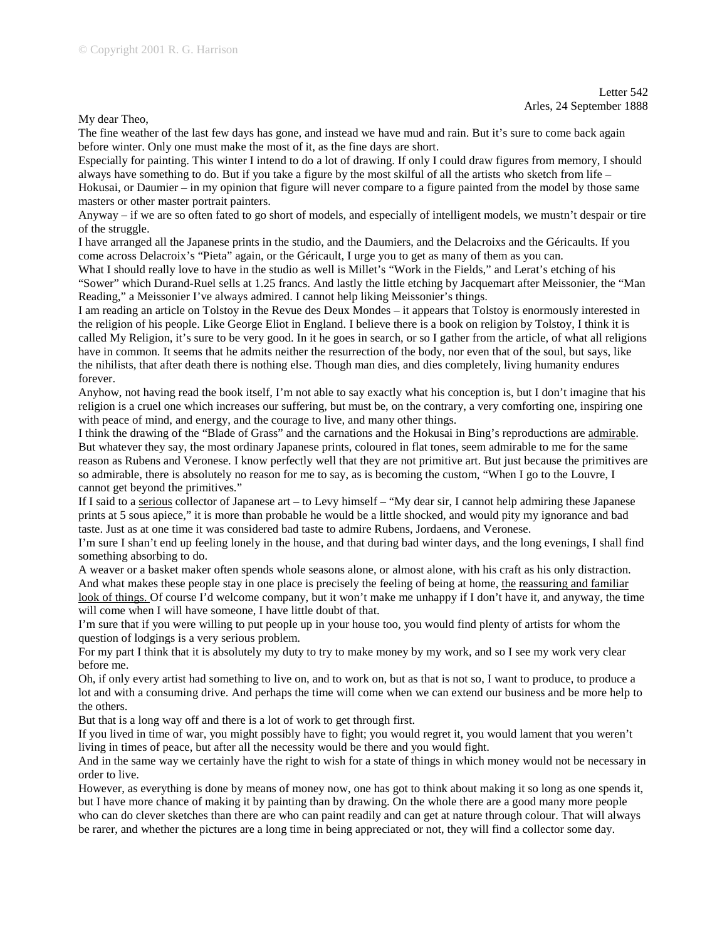My dear Theo,

The fine weather of the last few days has gone, and instead we have mud and rain. But it's sure to come back again before winter. Only one must make the most of it, as the fine days are short.

Especially for painting. This winter I intend to do a lot of drawing. If only I could draw figures from memory, I should always have something to do. But if you take a figure by the most skilful of all the artists who sketch from life – Hokusai, or Daumier – in my opinion that figure will never compare to a figure painted from the model by those same masters or other master portrait painters.

Anyway – if we are so often fated to go short of models, and especially of intelligent models, we mustn't despair or tire of the struggle.

I have arranged all the Japanese prints in the studio, and the Daumiers, and the Delacroixs and the Géricaults. If you come across Delacroix's "Pieta" again, or the Géricault, I urge you to get as many of them as you can.

What I should really love to have in the studio as well is Millet's "Work in the Fields," and Lerat's etching of his "Sower" which Durand-Ruel sells at 1.25 francs. And lastly the little etching by Jacquemart after Meissonier, the "Man Reading," a Meissonier I've always admired. I cannot help liking Meissonier's things.

I am reading an article on Tolstoy in the Revue des Deux Mondes – it appears that Tolstoy is enormously interested in the religion of his people. Like George Eliot in England. I believe there is a book on religion by Tolstoy, I think it is called My Religion, it's sure to be very good. In it he goes in search, or so I gather from the article, of what all religions have in common. It seems that he admits neither the resurrection of the body, nor even that of the soul, but says, like the nihilists, that after death there is nothing else. Though man dies, and dies completely, living humanity endures forever.

Anyhow, not having read the book itself, I'm not able to say exactly what his conception is, but I don't imagine that his religion is a cruel one which increases our suffering, but must be, on the contrary, a very comforting one, inspiring one with peace of mind, and energy, and the courage to live, and many other things.

I think the drawing of the "Blade of Grass" and the carnations and the Hokusai in Bing's reproductions are admirable. But whatever they say, the most ordinary Japanese prints, coloured in flat tones, seem admirable to me for the same reason as Rubens and Veronese. I know perfectly well that they are not primitive art. But just because the primitives are so admirable, there is absolutely no reason for me to say, as is becoming the custom, "When I go to the Louvre, I cannot get beyond the primitives."

If I said to a serious collector of Japanese art – to Levy himself – "My dear sir, I cannot help admiring these Japanese prints at 5 sous apiece," it is more than probable he would be a little shocked, and would pity my ignorance and bad taste. Just as at one time it was considered bad taste to admire Rubens, Jordaens, and Veronese.

I'm sure I shan't end up feeling lonely in the house, and that during bad winter days, and the long evenings, I shall find something absorbing to do.

A weaver or a basket maker often spends whole seasons alone, or almost alone, with his craft as his only distraction. And what makes these people stay in one place is precisely the feeling of being at home, the reassuring and familiar look of things. Of course I'd welcome company, but it won't make me unhappy if I don't have it, and anyway, the time will come when I will have someone, I have little doubt of that.

I'm sure that if you were willing to put people up in your house too, you would find plenty of artists for whom the question of lodgings is a very serious problem.

For my part I think that it is absolutely my duty to try to make money by my work, and so I see my work very clear before me.

Oh, if only every artist had something to live on, and to work on, but as that is not so, I want to produce, to produce a lot and with a consuming drive. And perhaps the time will come when we can extend our business and be more help to the others.

But that is a long way off and there is a lot of work to get through first.

If you lived in time of war, you might possibly have to fight; you would regret it, you would lament that you weren't living in times of peace, but after all the necessity would be there and you would fight.

And in the same way we certainly have the right to wish for a state of things in which money would not be necessary in order to live.

However, as everything is done by means of money now, one has got to think about making it so long as one spends it, but I have more chance of making it by painting than by drawing. On the whole there are a good many more people who can do clever sketches than there are who can paint readily and can get at nature through colour. That will always be rarer, and whether the pictures are a long time in being appreciated or not, they will find a collector some day.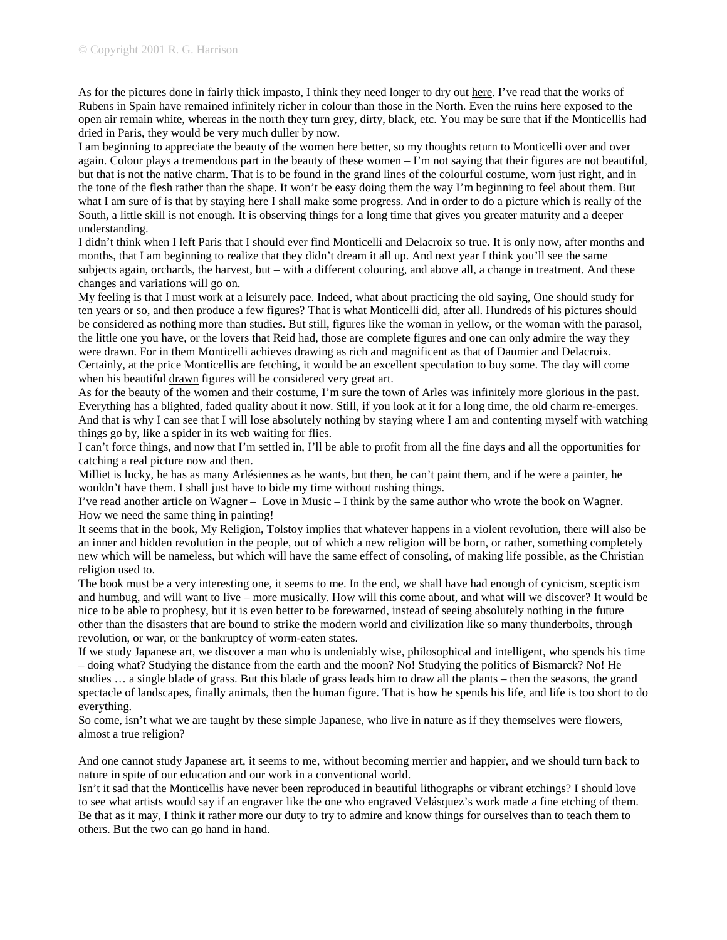As for the pictures done in fairly thick impasto, I think they need longer to dry out here. I've read that the works of Rubens in Spain have remained infinitely richer in colour than those in the North. Even the ruins here exposed to the open air remain white, whereas in the north they turn grey, dirty, black, etc. You may be sure that if the Monticellis had dried in Paris, they would be very much duller by now.

I am beginning to appreciate the beauty of the women here better, so my thoughts return to Monticelli over and over again. Colour plays a tremendous part in the beauty of these women  $-I$ 'm not saying that their figures are not beautiful, but that is not the native charm. That is to be found in the grand lines of the colourful costume, worn just right, and in the tone of the flesh rather than the shape. It won't be easy doing them the way I'm beginning to feel about them. But what I am sure of is that by staying here I shall make some progress. And in order to do a picture which is really of the South, a little skill is not enough. It is observing things for a long time that gives you greater maturity and a deeper understanding.

I didn't think when I left Paris that I should ever find Monticelli and Delacroix so true. It is only now, after months and months, that I am beginning to realize that they didn't dream it all up. And next year I think you'll see the same subjects again, orchards, the harvest, but – with a different colouring, and above all, a change in treatment. And these changes and variations will go on.

My feeling is that I must work at a leisurely pace. Indeed, what about practicing the old saying, One should study for ten years or so, and then produce a few figures? That is what Monticelli did, after all. Hundreds of his pictures should be considered as nothing more than studies. But still, figures like the woman in yellow, or the woman with the parasol, the little one you have, or the lovers that Reid had, those are complete figures and one can only admire the way they were drawn. For in them Monticelli achieves drawing as rich and magnificent as that of Daumier and Delacroix. Certainly, at the price Monticellis are fetching, it would be an excellent speculation to buy some. The day will come when his beautiful drawn figures will be considered very great art.

As for the beauty of the women and their costume, I'm sure the town of Arles was infinitely more glorious in the past. Everything has a blighted, faded quality about it now. Still, if you look at it for a long time, the old charm re-emerges. And that is why I can see that I will lose absolutely nothing by staying where I am and contenting myself with watching things go by, like a spider in its web waiting for flies.

I can't force things, and now that I'm settled in, I'll be able to profit from all the fine days and all the opportunities for catching a real picture now and then.

Milliet is lucky, he has as many Arlésiennes as he wants, but then, he can't paint them, and if he were a painter, he wouldn't have them. I shall just have to bide my time without rushing things.

I've read another article on Wagner – Love in Music – I think by the same author who wrote the book on Wagner. How we need the same thing in painting!

It seems that in the book, My Religion, Tolstoy implies that whatever happens in a violent revolution, there will also be an inner and hidden revolution in the people, out of which a new religion will be born, or rather, something completely new which will be nameless, but which will have the same effect of consoling, of making life possible, as the Christian religion used to.

The book must be a very interesting one, it seems to me. In the end, we shall have had enough of cynicism, scepticism and humbug, and will want to live – more musically. How will this come about, and what will we discover? It would be nice to be able to prophesy, but it is even better to be forewarned, instead of seeing absolutely nothing in the future other than the disasters that are bound to strike the modern world and civilization like so many thunderbolts, through revolution, or war, or the bankruptcy of worm-eaten states.

If we study Japanese art, we discover a man who is undeniably wise, philosophical and intelligent, who spends his time – doing what? Studying the distance from the earth and the moon? No! Studying the politics of Bismarck? No! He studies … a single blade of grass. But this blade of grass leads him to draw all the plants – then the seasons, the grand spectacle of landscapes, finally animals, then the human figure. That is how he spends his life, and life is too short to do everything.

So come, isn't what we are taught by these simple Japanese, who live in nature as if they themselves were flowers, almost a true religion?

And one cannot study Japanese art, it seems to me, without becoming merrier and happier, and we should turn back to nature in spite of our education and our work in a conventional world.

Isn't it sad that the Monticellis have never been reproduced in beautiful lithographs or vibrant etchings? I should love to see what artists would say if an engraver like the one who engraved Velásquez's work made a fine etching of them. Be that as it may, I think it rather more our duty to try to admire and know things for ourselves than to teach them to others. But the two can go hand in hand.